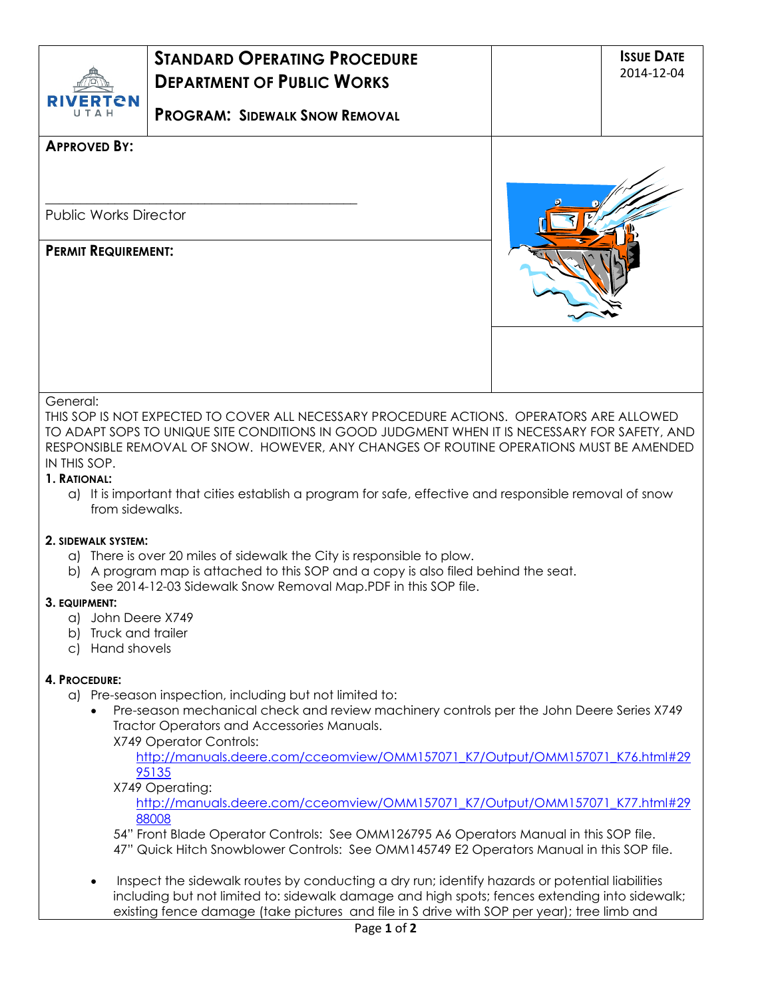| TCN                                                                                                   |                                                                                                                                                                                                                                                                                                                                                                                                                                                                                                                                                                                                                         |  | 2014-12-04 |
|-------------------------------------------------------------------------------------------------------|-------------------------------------------------------------------------------------------------------------------------------------------------------------------------------------------------------------------------------------------------------------------------------------------------------------------------------------------------------------------------------------------------------------------------------------------------------------------------------------------------------------------------------------------------------------------------------------------------------------------------|--|------------|
|                                                                                                       | <b>PROGRAM: SIDEWALK SNOW REMOVAL</b>                                                                                                                                                                                                                                                                                                                                                                                                                                                                                                                                                                                   |  |            |
| <b>APPROVED BY:</b>                                                                                   |                                                                                                                                                                                                                                                                                                                                                                                                                                                                                                                                                                                                                         |  |            |
|                                                                                                       |                                                                                                                                                                                                                                                                                                                                                                                                                                                                                                                                                                                                                         |  |            |
| <b>Public Works Director</b>                                                                          |                                                                                                                                                                                                                                                                                                                                                                                                                                                                                                                                                                                                                         |  |            |
|                                                                                                       |                                                                                                                                                                                                                                                                                                                                                                                                                                                                                                                                                                                                                         |  |            |
| <b>PERMIT REQUIREMENT:</b>                                                                            |                                                                                                                                                                                                                                                                                                                                                                                                                                                                                                                                                                                                                         |  |            |
|                                                                                                       |                                                                                                                                                                                                                                                                                                                                                                                                                                                                                                                                                                                                                         |  |            |
| General:<br>IN THIS SOP.<br>1. RATIONAL:<br>from sidewalks.                                           | THIS SOP IS NOT EXPECTED TO COVER ALL NECESSARY PROCEDURE ACTIONS. OPERATORS ARE ALLOWED<br>TO ADAPT SOPS TO UNIQUE SITE CONDITIONS IN GOOD JUDGMENT WHEN IT IS NECESSARY FOR SAFETY, AND<br>RESPONSIBLE REMOVAL OF SNOW. HOWEVER, ANY CHANGES OF ROUTINE OPERATIONS MUST BE AMENDED<br>a) It is important that cities establish a program for safe, effective and responsible removal of snow                                                                                                                                                                                                                          |  |            |
| 2. SIDEWALK SYSTEM:<br>3. EQUIPMENT:<br>a) John Deere X749<br>b) Truck and trailer<br>c) Hand shovels | a) There is over 20 miles of sidewalk the City is responsible to plow.<br>b) A program map is attached to this SOP and a copy is also filed behind the seat.<br>See 2014-12-03 Sidewalk Snow Removal Map.PDF in this SOP file.                                                                                                                                                                                                                                                                                                                                                                                          |  |            |
| 4. PROCEDURE:                                                                                         | a) Pre-season inspection, including but not limited to:<br>Pre-season mechanical check and review machinery controls per the John Deere Series X749<br>Tractor Operators and Accessories Manuals.<br>X749 Operator Controls:<br>http://manuals.deere.com/cceomview/OMM157071 K7/Output/OMM157071 K76.html#29<br>95135<br>X749 Operating:<br>http://manuals.deere.com/cceomview/OMM157071 K7/Output/OMM157071 K77.html#29<br>88008<br>54" Front Blade Operator Controls: See OMM126795 A6 Operators Manual in this SOP file.<br>47" Quick Hitch Snowblower Controls: See OMM145749 E2 Operators Manual in this SOP file. |  |            |